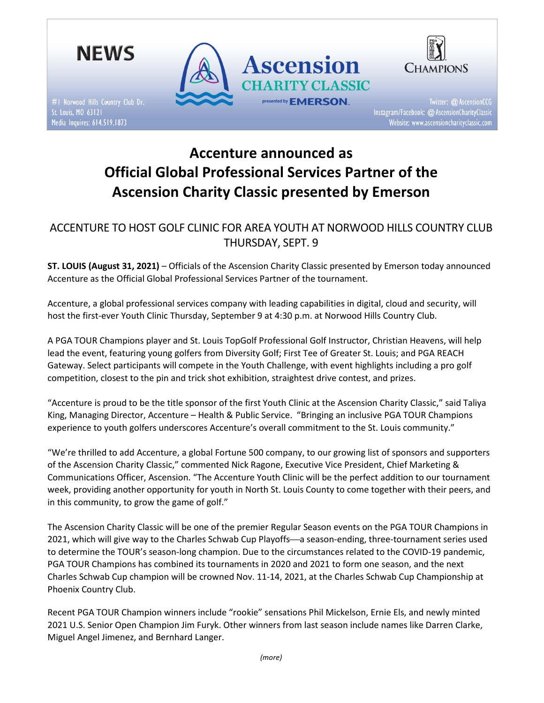

#1 Norwood Hills Country Club Dr. Media Inquires: 614.519.1873





Twitter: @ AscensionCCG Instagram/Facebook: @ AscensionCharityClassic Website: www.ascensioncharityclassic.com

# Accenture announced as Official Global Professional Services Partner of the Ascension Charity Classic presented by Emerson

## ACCENTURE TO HOST GOLF CLINIC FOR AREA YOUTH AT NORWOOD HILLS COUNTRY CLUB THURSDAY, SEPT. 9

ST. LOUIS (August 31, 2021) – Officials of the Ascension Charity Classic presented by Emerson today announced Accenture as the Official Global Professional Services Partner of the tournament.

Accenture, a global professional services company with leading capabilities in digital, cloud and security, will host the first-ever Youth Clinic Thursday, September 9 at 4:30 p.m. at Norwood Hills Country Club.

A PGA TOUR Champions player and St. Louis TopGolf Professional Golf Instructor, Christian Heavens, will help lead the event, featuring young golfers from Diversity Golf; First Tee of Greater St. Louis; and PGA REACH Gateway. Select participants will compete in the Youth Challenge, with event highlights including a pro golf competition, closest to the pin and trick shot exhibition, straightest drive contest, and prizes.

"Accenture is proud to be the title sponsor of the first Youth Clinic at the Ascension Charity Classic," said Taliya King, Managing Director, Accenture – Health & Public Service. "Bringing an inclusive PGA TOUR Champions experience to youth golfers underscores Accenture's overall commitment to the St. Louis community."

"We're thrilled to add Accenture, a global Fortune 500 company, to our growing list of sponsors and supporters of the Ascension Charity Classic," commented Nick Ragone, Executive Vice President, Chief Marketing & Communications Officer, Ascension. "The Accenture Youth Clinic will be the perfect addition to our tournament week, providing another opportunity for youth in North St. Louis County to come together with their peers, and in this community, to grow the game of golf."

The Ascension Charity Classic will be one of the premier Regular Season events on the PGA TOUR Champions in 2021, which will give way to the Charles Schwab Cup Playoffs-a season-ending, three-tournament series used to determine the TOUR's season-long champion. Due to the circumstances related to the COVID-19 pandemic, PGA TOUR Champions has combined its tournaments in 2020 and 2021 to form one season, and the next Charles Schwab Cup champion will be crowned Nov. 11-14, 2021, at the Charles Schwab Cup Championship at Phoenix Country Club.

Recent PGA TOUR Champion winners include "rookie" sensations Phil Mickelson, Ernie Els, and newly minted 2021 U.S. Senior Open Champion Jim Furyk. Other winners from last season include names like Darren Clarke, Miguel Angel Jimenez, and Bernhard Langer.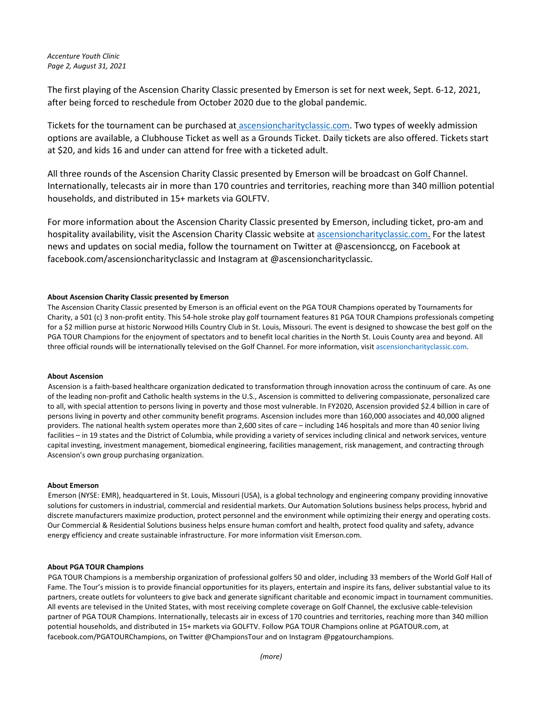### Accenture Youth Clinic Page 2, August 31, 2021

The first playing of the Ascension Charity Classic presented by Emerson is set for next week, Sept. 6-12, 2021, after being forced to reschedule from October 2020 due to the global pandemic.

Tickets for the tournament can be purchased at ascensioncharityclassic.com. Two types of weekly admission options are available, a Clubhouse Ticket as well as a Grounds Ticket. Daily tickets are also offered. Tickets start at \$20, and kids 16 and under can attend for free with a ticketed adult.

All three rounds of the Ascension Charity Classic presented by Emerson will be broadcast on Golf Channel. Internationally, telecasts air in more than 170 countries and territories, reaching more than 340 million potential households, and distributed in 15+ markets via GOLFTV.

For more information about the Ascension Charity Classic presented by Emerson, including ticket, pro-am and hospitality availability, visit the Ascension Charity Classic website at ascensioncharityclassic.com. For the latest news and updates on social media, follow the tournament on Twitter at @ascensionccg, on Facebook at facebook.com/ascensioncharityclassic and Instagram at @ascensioncharityclassic.

#### About Ascension Charity Classic presented by Emerson

The Ascension Charity Classic presented by Emerson is an official event on the PGA TOUR Champions operated by Tournaments for Charity, a 501 (c) 3 non-profit entity. This 54-hole stroke play golf tournament features 81 PGA TOUR Champions professionals competing for a \$2 million purse at historic Norwood Hills Country Club in St. Louis, Missouri. The event is designed to showcase the best golf on the PGA TOUR Champions for the enjoyment of spectators and to benefit local charities in the North St. Louis County area and beyond. All three official rounds will be internationally televised on the Golf Channel. For more information, visit ascensioncharityclassic.com.

#### About Ascension

Ascension is a faith-based healthcare organization dedicated to transformation through innovation across the continuum of care. As one of the leading non-profit and Catholic health systems in the U.S., Ascension is committed to delivering compassionate, personalized care to all, with special attention to persons living in poverty and those most vulnerable. In FY2020, Ascension provided \$2.4 billion in care of persons living in poverty and other community benefit programs. Ascension includes more than 160,000 associates and 40,000 aligned providers. The national health system operates more than 2,600 sites of care – including 146 hospitals and more than 40 senior living facilities – in 19 states and the District of Columbia, while providing a variety of services including clinical and network services, venture capital investing, investment management, biomedical engineering, facilities management, risk management, and contracting through Ascension's own group purchasing organization.

#### About Emerson

Emerson (NYSE: EMR), headquartered in St. Louis, Missouri (USA), is a global technology and engineering company providing innovative solutions for customers in industrial, commercial and residential markets. Our Automation Solutions business helps process, hybrid and discrete manufacturers maximize production, protect personnel and the environment while optimizing their energy and operating costs. Our Commercial & Residential Solutions business helps ensure human comfort and health, protect food quality and safety, advance energy efficiency and create sustainable infrastructure. For more information visit Emerson.com.

#### About PGA TOUR Champions

PGA TOUR Champions is a membership organization of professional golfers 50 and older, including 33 members of the World Golf Hall of Fame. The Tour's mission is to provide financial opportunities for its players, entertain and inspire its fans, deliver substantial value to its partners, create outlets for volunteers to give back and generate significant charitable and economic impact in tournament communities. All events are televised in the United States, with most receiving complete coverage on Golf Channel, the exclusive cable-television partner of PGA TOUR Champions. Internationally, telecasts air in excess of 170 countries and territories, reaching more than 340 million potential households, and distributed in 15+ markets via GOLFTV. Follow PGA TOUR Champions online at PGATOUR.com, at facebook.com/PGATOURChampions, on Twitter @ChampionsTour and on Instagram @pgatourchampions.